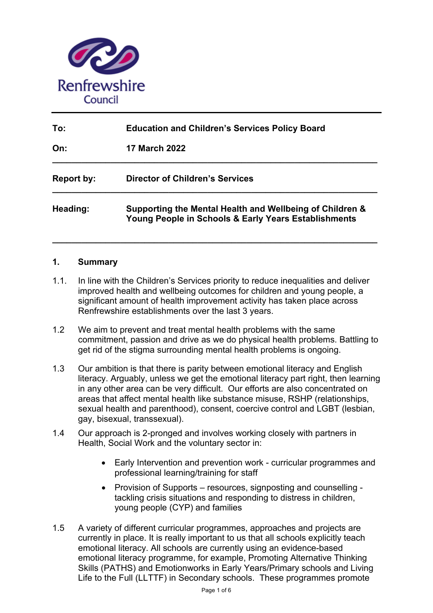

| To:               | <b>Education and Children's Services Policy Board</b><br><b>17 March 2022</b>                                    |  |
|-------------------|------------------------------------------------------------------------------------------------------------------|--|
| On:               |                                                                                                                  |  |
| <b>Report by:</b> | <b>Director of Children's Services</b>                                                                           |  |
| Heading:          | Supporting the Mental Health and Wellbeing of Children &<br>Young People in Schools & Early Years Establishments |  |

**\_\_\_\_\_\_\_\_\_\_\_\_\_\_\_\_\_\_\_\_\_\_\_\_\_\_\_\_\_\_\_\_\_\_\_\_\_\_\_\_\_\_\_\_\_\_\_\_\_\_\_\_\_\_\_\_\_\_\_\_\_\_\_\_\_\_\_** 

#### **1. Summary**

- 1.1. In line with the Children's Services priority to reduce inequalities and deliver improved health and wellbeing outcomes for children and young people, a significant amount of health improvement activity has taken place across Renfrewshire establishments over the last 3 years.
- 1.2 We aim to prevent and treat mental health problems with the same commitment, passion and drive as we do physical health problems. Battling to get rid of the stigma surrounding mental health problems is ongoing.
- 1.3 Our ambition is that there is parity between emotional literacy and English literacy. Arguably, unless we get the emotional literacy part right, then learning in any other area can be very difficult. Our efforts are also concentrated on areas that affect mental health like substance misuse, RSHP (relationships, sexual health and parenthood), consent, coercive control and LGBT (lesbian, gay, bisexual, transsexual).
- 1.4 Our approach is 2-pronged and involves working closely with partners in Health, Social Work and the voluntary sector in:
	- Early Intervention and prevention work curricular programmes and professional learning/training for staff
	- Provision of Supports resources, signposting and counselling tackling crisis situations and responding to distress in children, young people (CYP) and families
- 1.5 A variety of different curricular programmes, approaches and projects are currently in place. It is really important to us that all schools explicitly teach emotional literacy. All schools are currently using an evidence-based emotional literacy programme, for example, Promoting Alternative Thinking Skills (PATHS) and Emotionworks in Early Years/Primary schools and Living Life to the Full (LLTTF) in Secondary schools. These programmes promote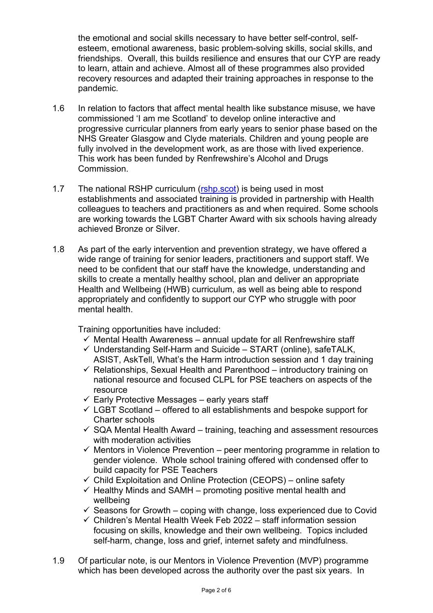the emotional and social skills necessary to have better self-control, selfesteem, emotional awareness, basic problem-solving skills, social skills, and friendships. Overall, this builds resilience and ensures that our CYP are ready to learn, attain and achieve. Almost all of these programmes also provided recovery resources and adapted their training approaches in response to the pandemic.

- 1.6 In relation to factors that affect mental health like substance misuse, we have commissioned 'I am me Scotland' to develop online interactive and progressive curricular planners from early years to senior phase based on the NHS Greater Glasgow and Clyde materials. Children and young people are fully involved in the development work, as are those with lived experience. This work has been funded by Renfrewshire's Alcohol and Drugs Commission.
- 1.7 The national RSHP curriculum (rshp.scot) is being used in most establishments and associated training is provided in partnership with Health colleagues to teachers and practitioners as and when required. Some schools are working towards the LGBT Charter Award with six schools having already achieved Bronze or Silver.
- 1.8 As part of the early intervention and prevention strategy, we have offered a wide range of training for senior leaders, practitioners and support staff. We need to be confident that our staff have the knowledge, understanding and skills to create a mentally healthy school, plan and deliver an appropriate Health and Wellbeing (HWB) curriculum, as well as being able to respond appropriately and confidently to support our CYP who struggle with poor mental health

Training opportunities have included:

- $\checkmark$  Mental Health Awareness annual update for all Renfrewshire staff
- $\checkmark$  Understanding Self-Harm and Suicide START (online), safeTALK, ASIST, AskTell, What's the Harm introduction session and 1 day training
- $\checkmark$  Relationships, Sexual Health and Parenthood introductory training on national resource and focused CLPL for PSE teachers on aspects of the resource
- $\checkmark$  Early Protective Messages early years staff
- $\checkmark$  LGBT Scotland offered to all establishments and bespoke support for Charter schools
- $\checkmark$  SQA Mental Health Award training, teaching and assessment resources with moderation activities
- $\checkmark$  Mentors in Violence Prevention peer mentoring programme in relation to gender violence. Whole school training offered with condensed offer to build capacity for PSE Teachers
- $\checkmark$  Child Exploitation and Online Protection (CEOPS) online safety
- $\checkmark$  Healthy Minds and SAMH promoting positive mental health and wellbeing
- $\checkmark$  Seasons for Growth coping with change, loss experienced due to Covid
- $\checkmark$  Children's Mental Health Week Feb 2022 staff information session focusing on skills, knowledge and their own wellbeing. Topics included self-harm, change, loss and grief, internet safety and mindfulness.
- 1.9 Of particular note, is our Mentors in Violence Prevention (MVP) programme which has been developed across the authority over the past six years. In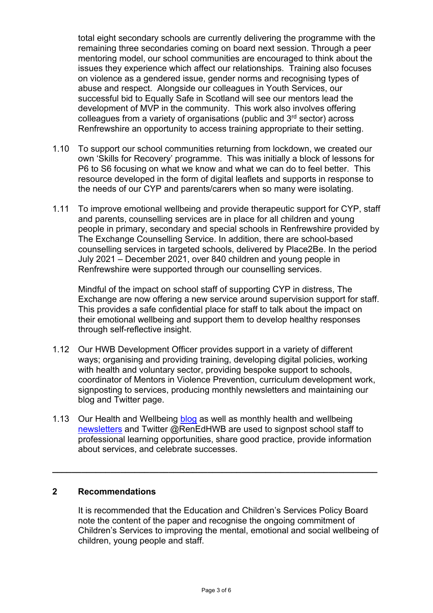total eight secondary schools are currently delivering the programme with the remaining three secondaries coming on board next session. Through a peer mentoring model, our school communities are encouraged to think about the issues they experience which affect our relationships. Training also focuses on violence as a gendered issue, gender norms and recognising types of abuse and respect. Alongside our colleagues in Youth Services, our successful bid to Equally Safe in Scotland will see our mentors lead the development of MVP in the community. This work also involves offering colleagues from a variety of organisations (public and 3rd sector) across Renfrewshire an opportunity to access training appropriate to their setting.

- 1.10 To support our school communities returning from lockdown, we created our own 'Skills for Recovery' programme. This was initially a block of lessons for P6 to S6 focusing on what we know and what we can do to feel better. This resource developed in the form of digital leaflets and supports in response to the needs of our CYP and parents/carers when so many were isolating.
- 1.11 To improve emotional wellbeing and provide therapeutic support for CYP, staff and parents, counselling services are in place for all children and young people in primary, secondary and special schools in Renfrewshire provided by The Exchange Counselling Service. In addition, there are school-based counselling services in targeted schools, delivered by Place2Be. In the period July 2021 – December 2021, over 840 children and young people in Renfrewshire were supported through our counselling services.

Mindful of the impact on school staff of supporting CYP in distress, The Exchange are now offering a new service around supervision support for staff. This provides a safe confidential place for staff to talk about the impact on their emotional wellbeing and support them to develop healthy responses through self-reflective insight.

- 1.12 Our HWB Development Officer provides support in a variety of different ways; organising and providing training, developing digital policies, working with health and voluntary sector, providing bespoke support to schools, coordinator of Mentors in Violence Prevention, curriculum development work, signposting to services, producing monthly newsletters and maintaining our blog and Twitter page.
- 1.13 Our Health and Wellbeing blog as well as monthly health and wellbeing newsletters and Twitter @RenEdHWB are used to signpost school staff to professional learning opportunities, share good practice, provide information about services, and celebrate successes.

**\_\_\_\_\_\_\_\_\_\_\_\_\_\_\_\_\_\_\_\_\_\_\_\_\_\_\_\_\_\_\_\_\_\_\_\_\_\_\_\_\_\_\_\_\_\_\_\_\_\_\_\_\_\_\_\_\_\_\_\_\_\_\_\_\_\_\_** 

## **2 Recommendations**

It is recommended that the Education and Children's Services Policy Board note the content of the paper and recognise the ongoing commitment of Children's Services to improving the mental, emotional and social wellbeing of children, young people and staff.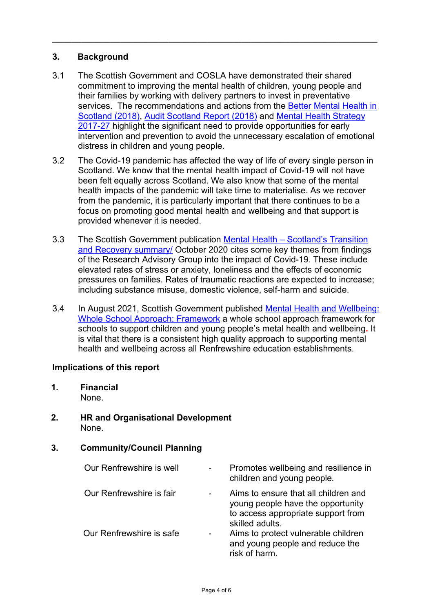# **3. Background**

3.1 The Scottish Government and COSLA have demonstrated their shared commitment to improving the mental health of children, young people and their families by working with delivery partners to invest in preventative services. The recommendations and actions from the Better Mental Health in Scotland (2018), Audit Scotland Report (2018) and Mental Health Strategy 2017-27 highlight the significant need to provide opportunities for early intervention and prevention to avoid the unnecessary escalation of emotional distress in children and young people.

**\_\_\_\_\_\_\_\_\_\_\_\_\_\_\_\_\_\_\_\_\_\_\_\_\_\_\_\_\_\_\_\_\_\_\_\_\_\_\_\_\_\_\_\_\_\_\_\_\_\_\_\_\_\_\_\_\_\_\_\_\_\_\_\_\_\_\_** 

- 3.2 The Covid-19 pandemic has affected the way of life of every single person in Scotland. We know that the mental health impact of Covid-19 will not have been felt equally across Scotland. We also know that some of the mental health impacts of the pandemic will take time to materialise. As we recover from the pandemic, it is particularly important that there continues to be a focus on promoting good mental health and wellbeing and that support is provided whenever it is needed.
- 3.3 The Scottish Government publication Mental Health Scotland's Transition and Recovery summary/ October 2020 cites some key themes from findings of the Research Advisory Group into the impact of Covid-19. These include elevated rates of stress or anxiety, loneliness and the effects of economic pressures on families. Rates of traumatic reactions are expected to increase; including substance misuse, domestic violence, self-harm and suicide.
- 3.4 In August 2021, Scottish Government published Mental Health and Wellbeing: Whole School Approach: Framework a whole school approach framework for schools to support children and young people's metal health and wellbeing**.** It is vital that there is a consistent high quality approach to supporting mental health and wellbeing across all Renfrewshire education establishments.

## **Implications of this report**

- **1. Financial**  None.
- **2. HR and Organisational Development** None.

## **3. Community/Council Planning**

| Our Renfrewshire is well | ٠ | Promotes wellbeing and resilience in<br>children and young people.                                                                 |
|--------------------------|---|------------------------------------------------------------------------------------------------------------------------------------|
| Our Renfrewshire is fair | ٠ | Aims to ensure that all children and<br>young people have the opportunity<br>to access appropriate support from<br>skilled adults. |
| Our Renfrewshire is safe | ۰ | Aims to protect vulnerable children<br>and young people and reduce the<br>risk of harm.                                            |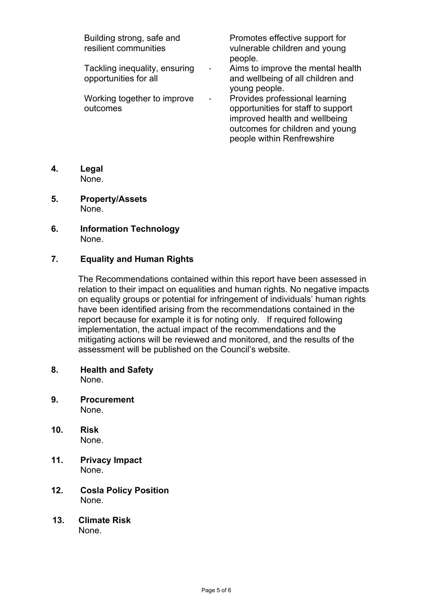| Building strong, safe and<br>resilient communities     |   | Promotes effective support for<br>vulnerable children and young<br>people.                                                                                             |
|--------------------------------------------------------|---|------------------------------------------------------------------------------------------------------------------------------------------------------------------------|
| Tackling inequality, ensuring<br>opportunities for all | ۰ | Aims to improve the mental health<br>and wellbeing of all children and<br>young people.                                                                                |
| Working together to improve<br>outcomes                |   | Provides professional learning<br>opportunities for staff to support<br>improved health and wellbeing<br>outcomes for children and young<br>people within Renfrewshire |

- **4. Legal**  None.
- **5. Property/Assets**  None.
- **6. Information Technology**  None.

# **7. Equality and Human Rights**

The Recommendations contained within this report have been assessed in relation to their impact on equalities and human rights. No negative impacts on equality groups or potential for infringement of individuals' human rights have been identified arising from the recommendations contained in the report because for example it is for noting only. If required following implementation, the actual impact of the recommendations and the mitigating actions will be reviewed and monitored, and the results of the assessment will be published on the Council's website.

- **8. Health and Safety**  None.
- **9. Procurement**  None.
- **10. Risk**  None.
- **11. Privacy Impact**  None.
- **12. Cosla Policy Position** None.
- **13. Climate Risk**  None.